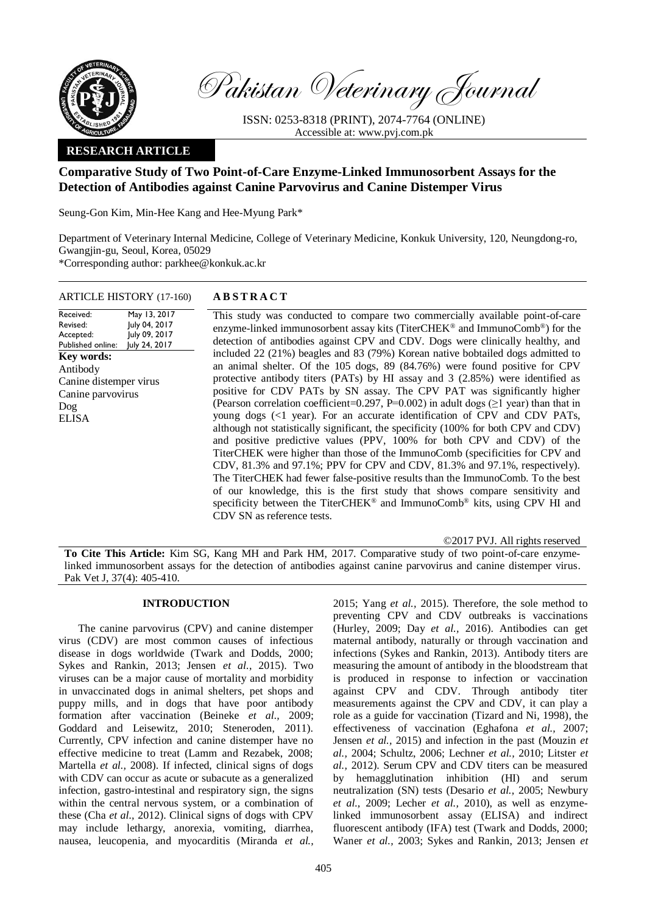

Pakistan Veterinary Journal

ISSN: 0253-8318 (PRINT), 2074-7764 (ONLINE) Accessible at: [www.pvj.com.pk](http://www.pvj.com.pk/)

# **RESEARCH ARTICLE**

# **Comparative Study of Two Point-of-Care Enzyme-Linked Immunosorbent Assays for the Detection of Antibodies against Canine Parvovirus and Canine Distemper Virus**

Seung-Gon Kim, Min-Hee Kang and Hee-Myung Park\*

Department of Veterinary Internal Medicine, College of Veterinary Medicine, Konkuk University, 120, Neungdong-ro, Gwangjin-gu, Seoul, Korea, 05029 \*Corresponding author: parkhee@konkuk.ac.kr

| ARTICLE HISTORY (17-160) | AB: |
|--------------------------|-----|
|--------------------------|-----|

Received: Revised: Accepted: Published online: May 13, 2017 July 04, 2017 July 09, 2017 July 24, 2017 **Key words:**  Antibody Canine distemper virus Canine parvovirus Dog ELISA

## $STRACT$

This study was conducted to compare two commercially available point-of-care enzyme-linked immunosorbent assay kits (TiterCHEK® and ImmunoComb®) for the detection of antibodies against CPV and CDV. Dogs were clinically healthy, and included 22 (21%) beagles and 83 (79%) Korean native bobtailed dogs admitted to an animal shelter. Of the 105 dogs, 89 (84.76%) were found positive for CPV protective antibody titers (PATs) by HI assay and 3 (2.85%) were identified as positive for CDV PATs by SN assay. The CPV PAT was significantly higher (Pearson correlation coefficient=0.297, P=0.002) in adult dogs ( $\geq 1$  year) than that in young dogs (<1 year). For an accurate identification of CPV and CDV PATs, although not statistically significant, the specificity (100% for both CPV and CDV) and positive predictive values (PPV, 100% for both CPV and CDV) of the TiterCHEK were higher than those of the ImmunoComb (specificities for CPV and CDV, 81.3% and 97.1%; PPV for CPV and CDV, 81.3% and 97.1%, respectively). The TiterCHEK had fewer false-positive results than the ImmunoComb. To the best of our knowledge, this is the first study that shows compare sensitivity and specificity between the TiterCHEK® and ImmunoComb® kits, using CPV HI and CDV SN as reference tests.

©2017 PVJ. All rights reserved

**To Cite This Article:** Kim SG, Kang MH and Park HM, 2017. Comparative study of two point-of-care enzymelinked immunosorbent assays for the detection of antibodies against canine parvovirus and canine distemper virus. Pak Vet J, 37(4): 405-410.

### **INTRODUCTION**

The canine parvovirus (CPV) and canine distemper virus (CDV) are most common causes of infectious disease in dogs worldwide (Twark and Dodds, 2000; Sykes and Rankin, 2013; Jensen *et al.*, 2015). Two viruses can be a major cause of mortality and morbidity in unvaccinated dogs in animal shelters, pet shops and puppy mills, and in dogs that have poor antibody formation after vaccination (Beineke *et al.,* 2009; Goddard and Leisewitz, 2010; Steneroden, 2011). Currently, CPV infection and canine distemper have no effective medicine to treat (Lamm and Rezabek, 2008; Martella *et al.,* 2008). If infected, clinical signs of dogs with CDV can occur as acute or subacute as a generalized infection, gastro-intestinal and respiratory sign, the signs within the central nervous system, or a combination of these (Cha *et al.,* 2012). Clinical signs of dogs with CPV may include lethargy, anorexia, vomiting, diarrhea, nausea, leucopenia, and myocarditis (Miranda *et al.,*

2015; Yang *et al.,* 2015). Therefore, the sole method to preventing CPV and CDV outbreaks is vaccinations (Hurley, 2009; Day *et al.,* 2016). Antibodies can get maternal antibody, naturally or through vaccination and infections (Sykes and Rankin, 2013). Antibody titers are measuring the amount of antibody in the bloodstream that is produced in response to infection or vaccination against CPV and CDV. Through antibody titer measurements against the CPV and CDV, it can play a role as a guide for vaccination (Tizard and Ni, 1998), the effectiveness of vaccination (Eghafona *et al.,* 2007; Jensen *et al.,* 2015) and infection in the past (Mouzin *et al.,* 2004; Schultz, 2006; Lechner *et al.,* 2010; Litster *et al.,* 2012). Serum CPV and CDV titers can be measured by hemagglutination inhibition (HI) and serum neutralization (SN) tests (Desario *et al.,* 2005; Newbury *et al.,* 2009; Lecher *et al.,* 2010), as well as enzymelinked immunosorbent assay (ELISA) and indirect fluorescent antibody (IFA) test (Twark and Dodds, 2000; Waner *et al.,* 2003; Sykes and Rankin, 2013; Jensen *et*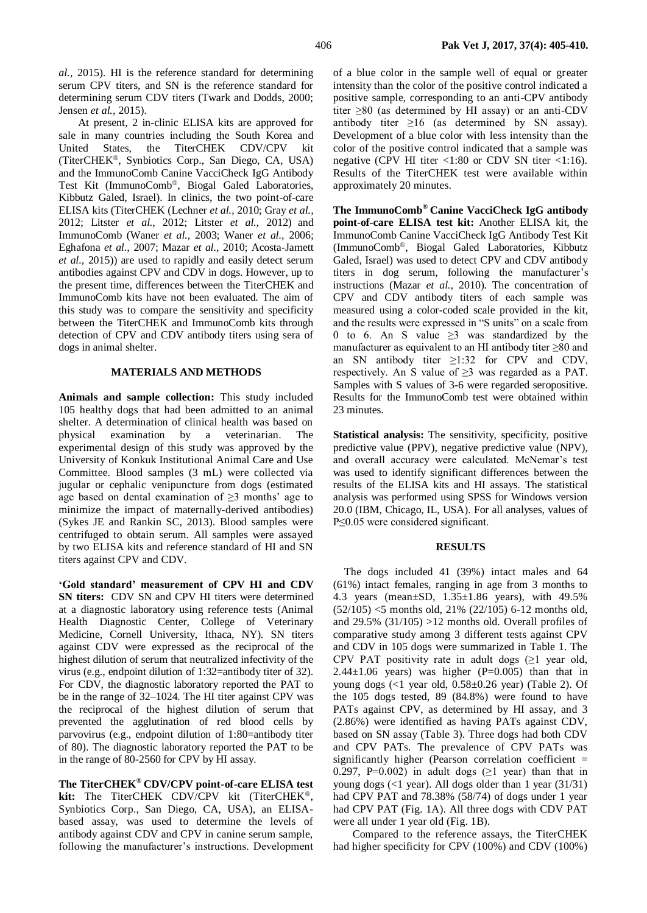*al.,* 2015). HI is the reference standard for determining serum CPV titers, and SN is the reference standard for determining serum CDV titers (Twark and Dodds, 2000; Jensen *et al.,* 2015).

At present, 2 in-clinic ELISA kits are approved for sale in many countries including the South Korea and United States, the TiterCHEK CDV/CPV kit (TiterCHEK®, Synbiotics Corp., San Diego, CA, USA) and the ImmunoComb Canine VacciCheck IgG Antibody Test Kit (ImmunoComb®, Biogal Galed Laboratories, Kibbutz Galed, Israel). In clinics, the two point-of-care ELISA kits (TiterCHEK (Lechner *et al.,* 2010; Gray *et al.,* 2012; Litster *et al.,* 2012; Litster *et al.,* 2012) and ImmunoComb (Waner *et al.,* 2003; Waner *et al.,* 2006; Eghafona *et al.,* 2007; Mazar *et al.,* 2010; Acosta-Jamett *et al.,* 2015)) are used to rapidly and easily detect serum antibodies against CPV and CDV in dogs. However, up to the present time, differences between the TiterCHEK and ImmunoComb kits have not been evaluated. The aim of this study was to compare the sensitivity and specificity between the TiterCHEK and ImmunoComb kits through detection of CPV and CDV antibody titers using sera of dogs in animal shelter.

### **MATERIALS AND METHODS**

**Animals and sample collection:** This study included 105 healthy dogs that had been admitted to an animal shelter. A determination of clinical health was based on physical examination by a veterinarian. The experimental design of this study was approved by the University of Konkuk Institutional Animal Care and Use Committee. Blood samples (3 mL) were collected via jugular or cephalic venipuncture from dogs (estimated age based on dental examination of  $\geq$ 3 months' age to minimize the impact of maternally-derived antibodies) (Sykes JE and Rankin SC, 2013). Blood samples were centrifuged to obtain serum. All samples were assayed by two ELISA kits and reference standard of HI and SN titers against CPV and CDV.

**'Gold standard' measurement of CPV HI and CDV SN titers:** CDV SN and CPV HI titers were determined at a diagnostic laboratory using reference tests (Animal Health Diagnostic Center, College of Veterinary Medicine, Cornell University, Ithaca, NY). SN titers against CDV were expressed as the reciprocal of the highest dilution of serum that neutralized infectivity of the virus (e.g., endpoint dilution of 1:32=antibody titer of 32). For CDV, the diagnostic laboratory reported the PAT to be in the range of 32–1024. The HI titer against CPV was the reciprocal of the highest dilution of serum that prevented the agglutination of red blood cells by parvovirus (e.g., endpoint dilution of 1:80=antibody titer of 80). The diagnostic laboratory reported the PAT to be in the range of 80-2560 for CPV by HI assay.

**The TiterCHEK® CDV/CPV point-of-care ELISA test kit:** The TiterCHEK CDV/CPV kit (TiterCHEK®, Synbiotics Corp., San Diego, CA, USA), an ELISAbased assay, was used to determine the levels of antibody against CDV and CPV in canine serum sample, following the manufacturer's instructions. Development of a blue color in the sample well of equal or greater intensity than the color of the positive control indicated a positive sample, corresponding to an anti-CPV antibody titer ≥80 (as determined by HI assay) or an anti-CDV antibody titer  $\geq 16$  (as determined by SN assay). Development of a blue color with less intensity than the color of the positive control indicated that a sample was negative (CPV HI titer <1:80 or CDV SN titer <1:16). Results of the TiterCHEK test were available within approximately 20 minutes.

**The ImmunoComb® Canine VacciCheck IgG antibody point-of-care ELISA test kit:** Another ELISA kit, the ImmunoComb Canine VacciCheck IgG Antibody Test Kit (ImmunoComb®, Biogal Galed Laboratories, Kibbutz Galed, Israel) was used to detect CPV and CDV antibody titers in dog serum, following the manufacturer's instructions (Mazar *et al.,* 2010). The concentration of CPV and CDV antibody titers of each sample was measured using a color-coded scale provided in the kit, and the results were expressed in "S units" on a scale from 0 to 6. An S value ≥3 was standardized by the manufacturer as equivalent to an HI antibody titer ≥80 and an SN antibody titer ≥1:32 for CPV and CDV, respectively. An S value of ≥3 was regarded as a PAT. Samples with S values of 3-6 were regarded seropositive. Results for the ImmunoComb test were obtained within 23 minutes.

**Statistical analysis:** The sensitivity, specificity, positive predictive value (PPV), negative predictive value (NPV), and overall accuracy were calculated. McNemar's test was used to identify significant differences between the results of the ELISA kits and HI assays. The statistical analysis was performed using SPSS for Windows version 20.0 (IBM, Chicago, IL, USA). For all analyses, values of P≤0.05 were considered significant.

#### **RESULTS**

The dogs included 41 (39%) intact males and 64 (61%) intact females, ranging in age from 3 months to 4.3 years (mean±SD, 1.35±1.86 years), with 49.5% (52/105) <5 months old, 21% (22/105) 6-12 months old, and 29.5% (31/105) >12 months old. Overall profiles of comparative study among 3 different tests against CPV and CDV in 105 dogs were summarized in Table 1. The CPV PAT positivity rate in adult dogs  $(≥1$  year old, 2.44 $\pm$ 1.06 years) was higher (P=0.005) than that in young dogs  $\langle$  <1 year old, 0.58 $\pm$ 0.26 year) (Table 2). Of the 105 dogs tested, 89 (84.8%) were found to have PATs against CPV, as determined by HI assay, and 3 (2.86%) were identified as having PATs against CDV, based on SN assay (Table 3). Three dogs had both CDV and CPV PATs. The prevalence of CPV PATs was significantly higher (Pearson correlation coefficient  $=$ 0.297, P=0.002) in adult dogs  $(≥1$  year) than that in young dogs (<1 year). All dogs older than 1 year (31/31) had CPV PAT and 78.38% (58/74) of dogs under 1 year had CPV PAT (Fig. 1A). All three dogs with CDV PAT were all under 1 year old (Fig. 1B).

Compared to the reference assays, the TiterCHEK had higher specificity for CPV (100%) and CDV (100%)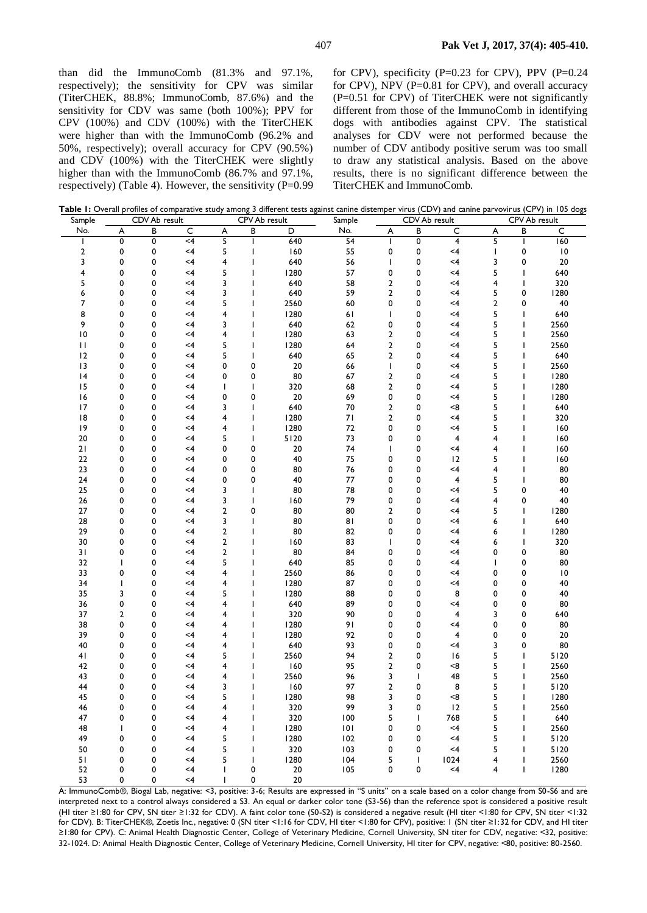than did the ImmunoComb (81.3% and 97.1%, respectively); the sensitivity for CPV was similar (TiterCHEK, 88.8%; ImmunoComb, 87.6%) and the sensitivity for CDV was same (both 100%); PPV for CPV (100%) and CDV (100%) with the TiterCHEK were higher than with the ImmunoComb (96.2% and 50%, respectively); overall accuracy for CPV (90.5%) and CDV (100%) with the TiterCHEK were slightly higher than with the ImmunoComb (86.7% and 97.1%, respectively) (Table 4). However, the sensitivity  $(P=0.99)$  for CPV), specificity (P=0.23 for CPV), PPV (P=0.24 for CPV), NPV (P=0.81 for CPV), and overall accuracy (P=0.51 for CPV) of TiterCHEK were not significantly different from those of the ImmunoComb in identifying dogs with antibodies against CPV. The statistical analyses for CDV were not performed because the number of CDV antibody positive serum was too small to draw any statistical analysis. Based on the above results, there is no significant difference between the TiterCHEK and ImmunoComb.

| Sample   |                          | CDV Ab result |             |        | CPV Ab result |            | Sample          | CDV Ab result  |        |                         | CPV Ab result           |                                          |                 |
|----------|--------------------------|---------------|-------------|--------|---------------|------------|-----------------|----------------|--------|-------------------------|-------------------------|------------------------------------------|-----------------|
| No.      | A                        | B             | $\mathsf C$ | A      | В             | D          | No.             | A              | B      | C                       | A                       | В                                        | C               |
| ı        | 0                        | 0             | $<$ 4       | 5      | T             | 640        | $\overline{54}$ | $\mathbf{I}$   | 0      | $\overline{\mathbf{4}}$ | 5                       |                                          | 160             |
| 2        | 0                        | 0             | $<$ 4       | 5      | ı             | 160        | 55              | 0              | 0      | $<$ 4                   | $\mathbf{I}$            | 0                                        | $\mathsf{I}0$   |
| 3        | 0                        | 0             | $<$ 4       | 4      |               | 640        | 56              | $\mathbf{I}$   | 0      | $<$ 4                   | 3                       | 0                                        | 20              |
| 4        | 0                        | 0             | <4          | 5      | ı             | 1280       | 57              | 0              | 0      | $\leq 4$                | 5                       |                                          | 640             |
| 5        | 0                        | 0             | $<$ 4       | 3      |               | 640        | 58              | $\overline{2}$ | 0      | $<$ 4                   | $\overline{\mathbf{4}}$ | $\overline{\phantom{a}}$                 | 320             |
| 6        | 0                        | 0             | $<$ 4       | 3      | ı             | 640        | 59              | $\overline{2}$ | 0      | $<$ 4                   | 5                       | 0                                        | 1280            |
| 7        | 0                        | 0             | <4          | 5      | T             | 2560       | 60              | 0              | 0      | $\leq 4$                | $\overline{2}$          | 0                                        | 40              |
| 8        | 0                        | 0             | $<$ 4       | 4      |               | 1280       | 61              | ı              | 0      | $<$ 4                   | 5                       |                                          | 640             |
| 9        | 0                        | 0             | $<$ 4       | 3      | ı             | 640        | 62              | 0              | 0      | $<$ 4                   | 5                       |                                          | 2560            |
| 10       | 0                        | 0             | <4          | 4      | ı             | 1280       | 63              | $\overline{2}$ | 0      | $<$ 4                   | 5                       |                                          | 2560            |
| П        | 0                        | 0             | $<$ 4       | 5      | ı             | 1280       | 64              | $\overline{2}$ | 0      | $<$ 4                   | 5                       |                                          | 2560            |
| 12       | 0                        | 0             | $\leq 4$    | 5      | ı             | 640        | 65              | $\overline{2}$ | 0      | $\leq 4$                | 5                       |                                          | 640             |
| 13       | 0                        | 0             | $<$ 4       | 0      | 0             | 20         | 66              | T              | 0      | $<$ 4                   | 5                       |                                          | 2560            |
| 4        | 0                        | 0             | $<$ 4       | 0      | 0             | 80         | 67              | $\overline{2}$ | 0      | $<$ 4                   | 5                       |                                          | 1280            |
| 15       | 0                        | 0             | <4          | T      | ı             | 320        | 68              | $\overline{2}$ | 0      | $\leq 4$                | 5                       |                                          | 1280            |
| 16       | 0                        | 0             | $<$ 4       | 0      | 0             | 20         | 69              | 0              | 0      | $<$ 4                   | 5                       |                                          | 1280            |
| 17       | 0                        | 0             | $<$ 4       | 3      | ı             | 640        | 70              | $\overline{2}$ | 0      | < 8                     | 5                       |                                          | 640             |
| 8        | 0                        | 0             | $<$ 4       | 4      |               | 1280       | 71              | $\overline{2}$ | 0      | $<$ 4                   | 5                       |                                          | 320             |
| 19       | 0                        | 0             | $<$ 4       | 4      |               | 1280       | 72              | 0              | 0      | <4                      | 5                       |                                          | 160             |
| 20       | 0                        | 0             | <4          | 5      | 1             | 5120       | 73              | 0              | 0      | 4                       | 4                       |                                          | 160             |
| 21       | 0                        | 0             | $<$ 4       | 0      | 0             | 20         | 74              | ı              | 0      | $\leq 4$                | 4                       |                                          | 160             |
| 22       | 0                        | 0             | $<$ 4       | 0      | 0             | 40         | 75              | 0              | 0      | 12                      | 5                       |                                          | 160             |
| 23<br>24 | 0<br>0                   | 0<br>0        | $<$ 4<br><4 | 0<br>0 | 0<br>0        | 80<br>40   | 76<br>77        | 0<br>0         | 0<br>0 | $\leq 4$<br>4           | 4<br>5                  |                                          | 80<br>80        |
| 25       | 0                        | 0             | $<$ 4       | 3      |               | 80         | 78              | 0              | 0      | $<$ 4                   | 5                       | 0                                        | 40              |
| 26       | 0                        | 0             | <4          | 3      | ı             | 160        | 79              | 0              | 0      | $\leq 4$                | $\overline{\mathbf{4}}$ | 0                                        | 40              |
| 27       | 0                        | 0             | <4          | 2      | 0             | 80         | 80              | $\overline{2}$ | 0      | $<$ 4                   | 5                       |                                          | 1280            |
| 28       | 0                        | 0             | $<$ 4       | 3      |               | 80         | 81              | 0              | 0      | $\leq 4$                | 6                       |                                          | 640             |
| 29       | 0                        | 0             | <4          | 2      |               | 80         | 82              | 0              | 0      | $<$ 4                   | 6                       |                                          | 1280            |
| 30       | 0                        | 0             | $<$ 4       | 2      |               | 160        | 83              | ı              | 0      | $<$ 4                   | 6                       |                                          | 320             |
| 31       | 0                        | 0             | <4          | 2      |               | 80         | 84              | 0              | 0      | $<$ 4                   | 0                       | 0                                        | 80              |
| 32       | $\mathbf{I}$             | 0             | <4          | 5      |               | 640        | 85              | 0              | 0      | $<$ 4                   | $\mathbf{I}$            | 0                                        | 80              |
| 33       | 0                        | 0             | $<$ 4       | 4      |               | 2560       | 86              | 0              | 0      | $<$ 4                   | 0                       | 0                                        | $\overline{10}$ |
| 34       | $\overline{\phantom{a}}$ | 0             | $\leq 4$    | 4      |               | 1280       | 87              | 0              | 0      | $<$ 4                   | 0                       | 0                                        | 40              |
| 35       | 3                        | 0             | $<$ 4       | 5      |               | 1280       | 88              | 0              | 0      | 8                       | 0                       | 0                                        | 40              |
| 36       | 0                        | 0             | $<$ 4       | 4      |               | 640        | 89              | 0              | 0      | $<$ 4                   | 0                       | 0                                        | 80              |
| 37       | $\overline{2}$           | 0             | <4          | 4      |               | 320        | 90              | 0              | 0      | 4                       | 3                       | 0                                        | 640             |
| 38       | 0                        | 0             | $<$ 4       | 4      |               | 1280       | 91              | 0              | 0      | $<$ 4                   | 0                       | 0                                        | 80              |
| 39       | 0                        | 0             | $<$ 4       | 4      | ı             | 1280       | 92              | 0              | 0      | 4                       | 0                       | 0                                        | 20              |
| 40       | 0                        | 0             | $<$ 4       | 4      |               | 640        | 93              | 0              | 0      | $\leq 4$                | 3                       | 0                                        | 80              |
| 41       | 0                        | 0             | $<$ 4       | 5      | ı             | 2560       | 94              | $\overline{2}$ | 0      | 16                      | 5                       | $\mathbf{I}$                             | 5120            |
| 42       | 0                        | 0             | <4          | 4      |               | 160        | 95              | $\overline{2}$ | 0      | < 8                     | 5                       |                                          | 2560            |
| 43       | 0                        | 0             | $<$ 4       | 4      | ı             | 2560       | 96              | 3              | T      | 48                      | 5                       |                                          | 2560            |
| 44       | 0                        | 0             | $<$ 4       | 3      |               | 160        | 97              | $\overline{2}$ | 0      | 8                       | 5                       | $\overline{\phantom{a}}$                 | 5120            |
| 45       | 0                        | 0             | $<$ 4       | 5      |               | 1280       | 98              | 3              | 0      | < 8                     | 5                       |                                          | 1280            |
| 46       | 0                        | 0             | $<$ 4       | 4      | ı             | 320        | 99              | 3              | 0      | 12                      | 5                       | $\mathsf{l}$                             | 2560            |
| 47       | 0                        | 0             | $<$ 4       | 4      |               | 320        | 100             | 5              | T      | 768                     | 5                       |                                          | 640             |
| 48       | $\mathbf{I}$             | 0             | $<$ 4       | 4      | 1             | 1280       | 101             | 0              | 0      | $<$ 4                   | 5                       |                                          | 2560            |
| 49       | 0                        | 0             | $<$ 4       | 5      |               | 1280       | 102             | 0              | 0      | $<$ 4                   | 5                       |                                          | 5120            |
| 50       | 0                        | 0             | $<$ 4       | 5      | ш             | 320        | 103             | 0              | 0      | $<$ 4                   | 5                       |                                          | 5120            |
| 51<br>52 | 0<br>0                   | 0<br>0        | $<$ 4<br><4 | 5      | ı<br>0        | 1280<br>20 | 104<br>105      | 5<br>0         | T<br>0 | 1024<br>$<$ 4           | 4<br>4                  | $\overline{\phantom{a}}$<br>$\mathbf{I}$ | 2560<br>1280    |
| 53       | 0                        | 0             | <4          |        | 0             | $20\,$     |                 |                |        |                         |                         |                                          |                 |
|          |                          |               |             |        |               |            |                 |                |        |                         |                         |                                          |                 |

Table 1: Overall profiles of comparative study among 3 different tests against canine distemper virus (CDV) and canine parvovirus (CPV) in 105 dogs

A: ImmunoComb®, Biogal Lab, negative: <3, positive: 3-6; Results are expressed in "S units" on a scale based on a color change from S0-S6 and are interpreted next to a control always considered a S3. An equal or darker color tone (S3-S6) than the reference spot is considered a positive result (HI titer ≥1:80 for CPV, SN titer ≥1:32 for CDV). A faint color tone (S0-S2) is considered a negative result (HI titer <1:80 for CPV, SN titer <1:32 for CDV). B: TiterCHEK®, Zoetis Inc., negative: 0 (SN titer <1:16 for CDV, HI titer <1:80 for CPV), positive: 1 (SN titer ≥1:32 for CDV, and HI titer ≥1:80 for CPV). C: Animal Health Diagnostic Center, College of Veterinary Medicine, Cornell University, SN titer for CDV, neg ative: <32, positive: 32-1024. D: Animal Health Diagnostic Center, College of Veterinary Medicine, Cornell University, HI titer for CPV, negative: <80, positive: 80-2560.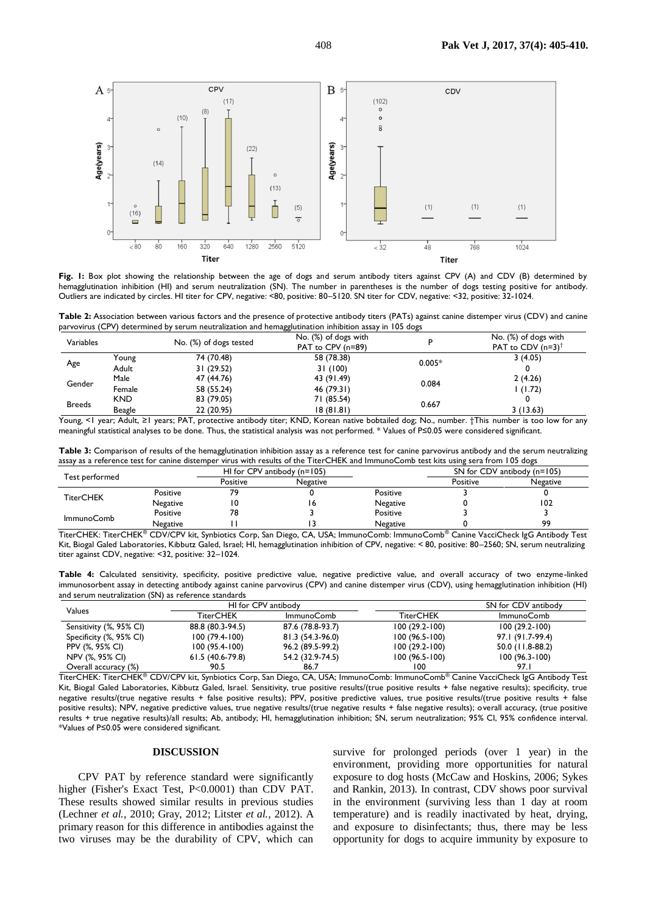

**Fig. 1:** Box plot showing the relationship between the age of dogs and serum antibody titers against CPV (A) and CDV (B) determined by hemagglutination inhibition (HI) and serum neutralization (SN). The number in parentheses is the number of dogs testing positive for antibody. Outliers are indicated by circles. HI titer for CPV, negative: <80, positive: 80–5120. SN titer for CDV, negative: <32, positive: 32-1024.

**Table 2:** Association between various factors and the presence of protective antibody titers (PATs) against canine distemper virus (CDV) and canine parvovirus (CPV) determined by serum neutralization and hemagglutination inhibition assay in 105 dogs

| Variables                |            | No. (%) of dogs tested | No. (%) of dogs with<br>PAT to CPV (n=89) |          | No. (%) of dogs with<br>PAT to CDV $(n=3)^{\dagger}$ |
|--------------------------|------------|------------------------|-------------------------------------------|----------|------------------------------------------------------|
|                          | Young      | 74 (70.48)             | 58 (78.38)                                | $0.005*$ | 3(4.05)                                              |
| Age<br>Adult             | 31 (29.52) | 31 (100)               |                                           |          |                                                      |
| Male<br>Gender<br>Female |            | 47 (44.76)             | 43 (91.49)                                |          | 2(4.26)                                              |
|                          | 58 (55.24) | 46 (79.31)             | 0.084                                     | 1(1.72)  |                                                      |
| <b>Breeds</b>            | <b>KND</b> | 83 (79.05)             | 71 (85.54)                                |          |                                                      |
|                          | Beagle     | 22 (20.95)             | 18(81.81)                                 | 0.667    | 3(13.63)                                             |

Young, <1 year; Adult, ≥1 years; PAT, protective antibody titer; KND, Korean native bobtailed dog; No., number. †This number is too low for any meaningful statistical analyses to be done. Thus, the statistical analysis was not performed. \* Values of P≤0.05 were considered significant.

**Table 3:** Comparison of results of the hemagglutination inhibition assay as a reference test for canine parvovirus antibody and the serum neutralizing assay as a reference test for canine distemper virus with results of the TiterCHEK and ImmunoComb test kits using sera from 105 dogs

|                   |          |          | HI for CPV antibody $(n=105)$ |                 | SN for CDV antibody $(n=105)$ |                 |
|-------------------|----------|----------|-------------------------------|-----------------|-------------------------------|-----------------|
| Test performed    |          | Positive | Negative                      |                 | Positive                      | <b>Negative</b> |
| <b>TiterCHEK</b>  | Positive |          |                               | Positive        |                               |                 |
|                   | Negative |          |                               | Negative        |                               | 102             |
| <b>ImmunoComb</b> | Positive |          |                               | Positive        |                               |                 |
|                   | Negative |          |                               | <b>Negative</b> |                               | 99              |

TiterCHEK: TiterCHEK® CDV/CPV kit, Synbiotics Corp, San Diego, CA, USA; ImmunoComb: ImmunoComb® Canine VacciCheck IgG Antibody Test Kit, Biogal Galed Laboratories, Kibbutz Galed, Israel; HI, hemagglutination inhibition of CPV, negative: < 80, positive: 80–2560; SN, serum neutralizing titer against CDV, negative: <32, positive: 32–1024.

Table 4: Calculated sensitivity, specificity, positive predictive value, negative predictive value, and overall accuracy of two enzyme-linked immunosorbent assay in detecting antibody against canine parvovirus (CPV) and canine distemper virus (CDV), using hemagglutination inhibition (HI) and serum neutralization (SN) as reference standards

| Values                  |                   | HI for CPV antibody | SN for CDV antibody |                   |  |  |
|-------------------------|-------------------|---------------------|---------------------|-------------------|--|--|
|                         | <b>TiterCHEK</b>  | <b>ImmunoComb</b>   | <b>TiterCHEK</b>    | <b>ImmunoComb</b> |  |  |
| Sensitivity (%, 95% CI) | 88.8 (80.3-94.5)  | 87.6 (78.8-93.7)    | $100(29.2-100)$     | $100(29.2-100)$   |  |  |
| Specificity (%, 95% CI) | $100(79.4-100)$   | 81.3 (54.3-96.0)    | $100(96.5-100)$     | 97.1 (91.7-99.4)  |  |  |
| PPV (%, 95% CI)         | $100(95.4-100)$   | 96.2 (89.5-99.2)    | $100(29.2-100)$     | 50.0 (11.8-88.2)  |  |  |
| NPV (%, 95% CI)         | $61.5(40.6-79.8)$ | 54.2 (32.9-74.5)    | $100(96.5-100)$     | $100(96.3-100)$   |  |  |
| Overall accuracy (%)    | 90.5              | 86.7                | 100                 | 97.I              |  |  |

TiterCHEK: TiterCHEK® CDV/CPV kit, Synbiotics Corp, San Diego, CA, USA; ImmunoComb: ImmunoComb® Canine VacciCheck IgG Antibody Test Kit, Biogal Galed Laboratories, Kibbutz Galed, Israel. Sensitivity, true positive results/(true positive results + false negative results); specificity, true negative results/(true negative results + false positive results); PPV, positive predictive values, true positive results/(true positive results + false positive results); NPV, negative predictive values, true negative results/(true negative results + false negative results); overall accuracy, (true positive results + true negative results)/all results; Ab, antibody; HI, hemagglutination inhibition; SN, serum neutralization; 95% CI, 95% confidence interval. \*Values of P≤0.05 were considered significant.

### **DISCUSSION**

CPV PAT by reference standard were significantly higher (Fisher's Exact Test, P<0.0001) than CDV PAT. These results showed similar results in previous studies (Lechner *et al.,* 2010; Gray, 2012; Litster *et al.,* 2012). A primary reason for this difference in antibodies against the two viruses may be the durability of CPV, which can

survive for prolonged periods (over 1 year) in the environment, providing more opportunities for natural exposure to dog hosts (McCaw and Hoskins, 2006; Sykes and Rankin, 2013). In contrast, CDV shows poor survival in the environment (surviving less than 1 day at room temperature) and is readily inactivated by heat, drying, and exposure to disinfectants; thus, there may be less opportunity for dogs to acquire immunity by exposure to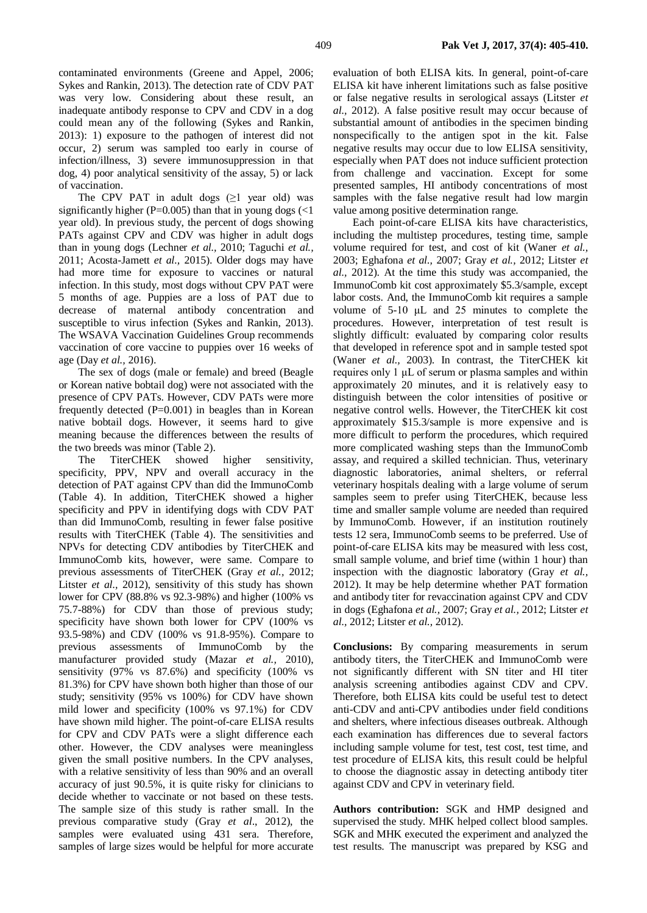contaminated environments (Greene and Appel, 2006; Sykes and Rankin, 2013). The detection rate of CDV PAT was very low. Considering about these result, an inadequate antibody response to CPV and CDV in a dog could mean any of the following (Sykes and Rankin, 2013): 1) exposure to the pathogen of interest did not occur, 2) serum was sampled too early in course of infection/illness, 3) severe immunosuppression in that dog, 4) poor analytical sensitivity of the assay, 5) or lack of vaccination.

The CPV PAT in adult dogs  $(≥1$  year old) was significantly higher ( $P=0.005$ ) than that in young dogs (<1 year old). In previous study, the percent of dogs showing PATs against CPV and CDV was higher in adult dogs than in young dogs (Lechner *et al.,* 2010; Taguchi *et al.,* 2011; Acosta-Jamett *et al.,* 2015). Older dogs may have had more time for exposure to vaccines or natural infection. In this study, most dogs without CPV PAT were 5 months of age. Puppies are a loss of PAT due to decrease of maternal antibody concentration and susceptible to virus infection (Sykes and Rankin, 2013). The WSAVA Vaccination Guidelines Group recommends vaccination of core vaccine to puppies over 16 weeks of age (Day *et al.,* 2016).

The sex of dogs (male or female) and breed (Beagle or Korean native bobtail dog) were not associated with the presence of CPV PATs. However, CDV PATs were more frequently detected  $(P=0.001)$  in beagles than in Korean native bobtail dogs. However, it seems hard to give meaning because the differences between the results of the two breeds was minor (Table 2).

The TiterCHEK showed higher sensitivity, specificity, PPV, NPV and overall accuracy in the detection of PAT against CPV than did the ImmunoComb (Table 4). In addition, TiterCHEK showed a higher specificity and PPV in identifying dogs with CDV PAT than did ImmunoComb, resulting in fewer false positive results with TiterCHEK (Table 4). The sensitivities and NPVs for detecting CDV antibodies by TiterCHEK and ImmunoComb kits, however, were same. Compare to previous assessments of TiterCHEK (Gray *et al.,* 2012; Litster *et al.,* 2012), sensitivity of this study has shown lower for CPV (88.8% vs 92.3-98%) and higher (100% vs 75.7-88%) for CDV than those of previous study; specificity have shown both lower for CPV (100% vs 93.5-98%) and CDV (100% vs 91.8-95%). Compare to previous assessments of ImmunoComb by the manufacturer provided study (Mazar *et al.,* 2010), sensitivity (97% vs 87.6%) and specificity (100% vs 81.3%) for CPV have shown both higher than those of our study; sensitivity (95% vs 100%) for CDV have shown mild lower and specificity (100% vs 97.1%) for CDV have shown mild higher. The point-of-care ELISA results for CPV and CDV PATs were a slight difference each other. However, the CDV analyses were meaningless given the small positive numbers. In the CPV analyses, with a relative sensitivity of less than 90% and an overall accuracy of just 90.5%, it is quite risky for clinicians to decide whether to vaccinate or not based on these tests. The sample size of this study is rather small. In the previous comparative study (Gray *et al*., 2012), the samples were evaluated using 431 sera. Therefore, samples of large sizes would be helpful for more accurate evaluation of both ELISA kits. In general, point-of-care ELISA kit have inherent limitations such as false positive or false negative results in serological assays (Litster *et al.,* 2012). A false positive result may occur because of substantial amount of antibodies in the specimen binding nonspecifically to the antigen spot in the kit. False negative results may occur due to low ELISA sensitivity, especially when PAT does not induce sufficient protection from challenge and vaccination. Except for some presented samples, HI antibody concentrations of most samples with the false negative result had low margin value among positive determination range.

Each point-of-care ELISA kits have characteristics, including the multistep procedures, testing time, sample volume required for test, and cost of kit (Waner *et al.,* 2003; Eghafona *et al.,* 2007; Gray *et al.,* 2012; Litster *et al.,* 2012). At the time this study was accompanied, the ImmunoComb kit cost approximately \$5.3/sample, except labor costs. And, the ImmunoComb kit requires a sample volume of 5-10 μL and 25 minutes to complete the procedures. However, interpretation of test result is slightly difficult: evaluated by comparing color results that developed in reference spot and in sample tested spot (Waner *et al.,* 2003). In contrast, the TiterCHEK kit requires only 1 μL of serum or plasma samples and within approximately 20 minutes, and it is relatively easy to distinguish between the color intensities of positive or negative control wells. However, the TiterCHEK kit cost approximately \$15.3/sample is more expensive and is more difficult to perform the procedures, which required more complicated washing steps than the ImmunoComb assay, and required a skilled technician. Thus, veterinary diagnostic laboratories, animal shelters, or referral veterinary hospitals dealing with a large volume of serum samples seem to prefer using TiterCHEK, because less time and smaller sample volume are needed than required by ImmunoComb. However, if an institution routinely tests 12 sera, ImmunoComb seems to be preferred. Use of point-of-care ELISA kits may be measured with less cost, small sample volume, and brief time (within 1 hour) than inspection with the diagnostic laboratory (Gray *et al.,* 2012). It may be help determine whether PAT formation and antibody titer for revaccination against CPV and CDV in dogs (Eghafona *et al.,* 2007; Gray *et al.,* 2012; Litster *et al.,* 2012; Litster *et al.,* 2012).

**Conclusions:** By comparing measurements in serum antibody titers, the TiterCHEK and ImmunoComb were not significantly different with SN titer and HI titer analysis screening antibodies against CDV and CPV. Therefore, both ELISA kits could be useful test to detect anti-CDV and anti-CPV antibodies under field conditions and shelters, where infectious diseases outbreak. Although each examination has differences due to several factors including sample volume for test, test cost, test time, and test procedure of ELISA kits, this result could be helpful to choose the diagnostic assay in detecting antibody titer against CDV and CPV in veterinary field.

**Authors contribution:** SGK and HMP designed and supervised the study. MHK helped collect blood samples. SGK and MHK executed the experiment and analyzed the test results. The manuscript was prepared by KSG and